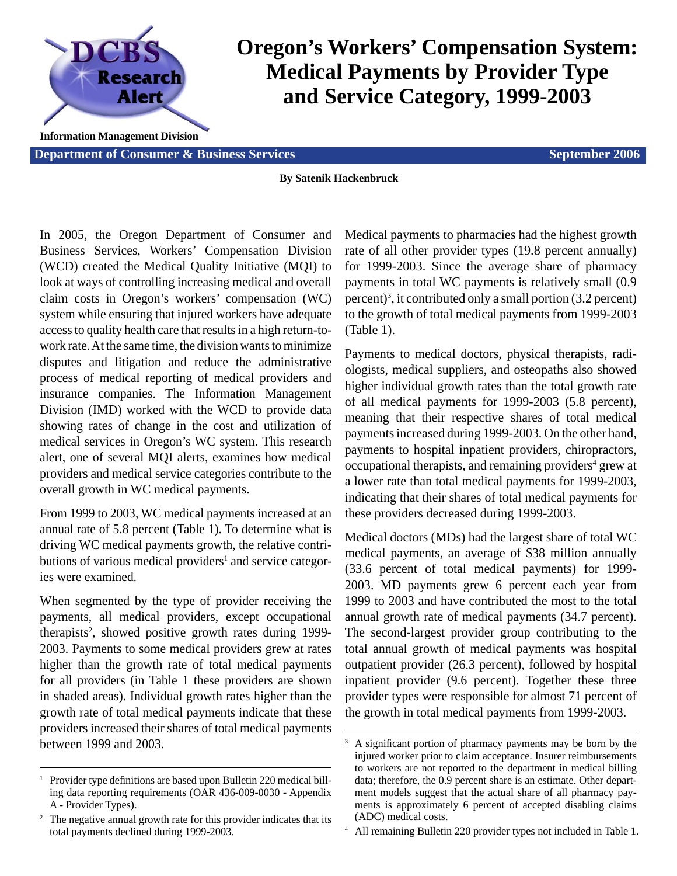

# **Oregon's Workers' Compensation System: Medical Payments by Provider Type and Service Category, 1999-2003**

**Information Management Division**

**Department of Consumer & Business Services Services Services September 2006** 

#### **By Satenik Hackenbruck**

In 2005, the Oregon Department of Consumer and Business Services, Workers' Compensation Division (WCD) created the Medical Quality Initiative (MQI) to look at ways of controlling increasing medical and overall claim costs in Oregon's workers' compensation (WC) system while ensuring that injured workers have adequate access to quality health care that results in a high return-towork rate. At the same time, the division wants to minimize disputes and litigation and reduce the administrative process of medical reporting of medical providers and insurance companies. The Information Management Division (IMD) worked with the WCD to provide data showing rates of change in the cost and utilization of medical services in Oregon's WC system. This research alert, one of several MQI alerts, examines how medical providers and medical service categories contribute to the overall growth in WC medical payments.

From 1999 to 2003, WC medical payments increased at an annual rate of 5.8 percent (Table 1). To determine what is driving WC medical payments growth, the relative contributions of various medical providers<sup>1</sup> and service categories were examined.

When segmented by the type of provider receiving the payments, all medical providers, except occupational therapists<sup>2</sup>, showed positive growth rates during 1999-2003. Payments to some medical providers grew at rates higher than the growth rate of total medical payments for all providers (in Table 1 these providers are shown in shaded areas). Individual growth rates higher than the growth rate of total medical payments indicate that these providers increased their shares of total medical payments between 1999 and 2003.

Medical payments to pharmacies had the highest growth rate of all other provider types (19.8 percent annually) for 1999-2003. Since the average share of pharmacy payments in total WC payments is relatively small (0.9 percent)<sup>3</sup>, it contributed only a small portion  $(3.2 \text{ percent})$ to the growth of total medical payments from 1999-2003 (Table 1).

Payments to medical doctors, physical therapists, radiologists, medical suppliers, and osteopaths also showed higher individual growth rates than the total growth rate of all medical payments for 1999-2003 (5.8 percent), meaning that their respective shares of total medical payments increased during 1999-2003. On the other hand, payments to hospital inpatient providers, chiropractors, occupational therapists, and remaining providers<sup>4</sup> grew at a lower rate than total medical payments for 1999-2003, indicating that their shares of total medical payments for these providers decreased during 1999-2003.

Medical doctors (MDs) had the largest share of total WC medical payments, an average of \$38 million annually (33.6 percent of total medical payments) for 1999- 2003. MD payments grew 6 percent each year from 1999 to 2003 and have contributed the most to the total annual growth rate of medical payments (34.7 percent). The second-largest provider group contributing to the total annual growth of medical payments was hospital outpatient provider (26.3 percent), followed by hospital inpatient provider (9.6 percent). Together these three provider types were responsible for almost 71 percent of the growth in total medical payments from 1999-2003.

4 All remaining Bulletin 220 provider types not included in Table 1.

<sup>&</sup>lt;sup>1</sup> Provider type definitions are based upon Bulletin 220 medical billing data reporting requirements (OAR 436-009-0030 - Appendix A - Provider Types).

<sup>&</sup>lt;sup>2</sup> The negative annual growth rate for this provider indicates that its total payments declined during 1999-2003.

<sup>&</sup>lt;sup>3</sup> A significant portion of pharmacy payments may be born by the injured worker prior to claim acceptance. Insurer reimbursements to workers are not reported to the department in medical billing data; therefore, the 0.9 percent share is an estimate. Other department models suggest that the actual share of all pharmacy payments is approximately 6 percent of accepted disabling claims (ADC) medical costs.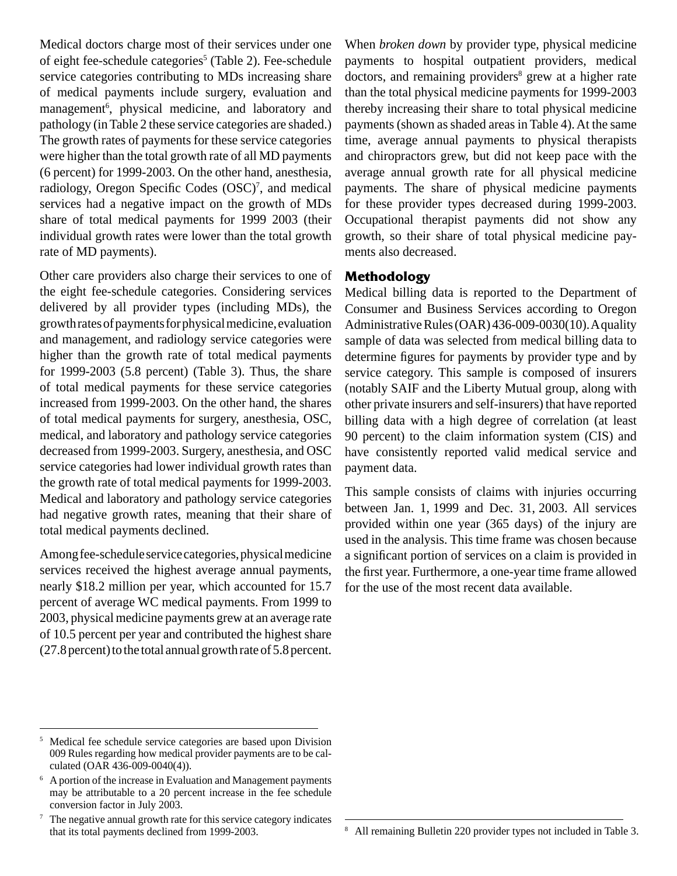Medical doctors charge most of their services under one of eight fee-schedule categories<sup>5</sup> (Table 2). Fee-schedule service categories contributing to MDs increasing share of medical payments include surgery, evaluation and management<sup>6</sup>, physical medicine, and laboratory and pathology (in Table 2 these service categories are shaded.) The growth rates of payments for these service categories were higher than the total growth rate of all MD payments (6 percent) for 1999-2003. On the other hand, anesthesia, radiology, Oregon Specific Codes (OSC)<sup>7</sup>, and medical services had a negative impact on the growth of MDs share of total medical payments for 1999 2003 (their individual growth rates were lower than the total growth rate of MD payments).

Other care providers also charge their services to one of the eight fee-schedule categories. Considering services delivered by all provider types (including MDs), the growth rates of payments for physical medicine, evaluation and management, and radiology service categories were higher than the growth rate of total medical payments for 1999-2003 (5.8 percent) (Table 3). Thus, the share of total medical payments for these service categories increased from 1999-2003. On the other hand, the shares of total medical payments for surgery, anesthesia, OSC, medical, and laboratory and pathology service categories decreased from 1999-2003. Surgery, anesthesia, and OSC service categories had lower individual growth rates than the growth rate of total medical payments for 1999-2003. Medical and laboratory and pathology service categories had negative growth rates, meaning that their share of total medical payments declined.

Among fee-schedule service categories, physical medicine services received the highest average annual payments, nearly \$18.2 million per year, which accounted for 15.7 percent of average WC medical payments. From 1999 to 2003, physical medicine payments grew at an average rate of 10.5 percent per year and contributed the highest share (27.8 percent) to the total annual growth rate of 5.8 percent. When *broken down* by provider type, physical medicine payments to hospital outpatient providers, medical doctors, and remaining providers<sup>8</sup> grew at a higher rate than the total physical medicine payments for 1999-2003 thereby increasing their share to total physical medicine payments (shown as shaded areas in Table 4). At the same time, average annual payments to physical therapists and chiropractors grew, but did not keep pace with the average annual growth rate for all physical medicine payments. The share of physical medicine payments for these provider types decreased during 1999-2003. Occupational therapist payments did not show any growth, so their share of total physical medicine payments also decreased.

## **Methodology**

Medical billing data is reported to the Department of Consumer and Business Services according to Oregon Administrative Rules (OAR) 436-009-0030(10). A quality sample of data was selected from medical billing data to determine figures for payments by provider type and by service category. This sample is composed of insurers (notably SAIF and the Liberty Mutual group, along with other private insurers and self-insurers) that have reported billing data with a high degree of correlation (at least 90 percent) to the claim information system (CIS) and have consistently reported valid medical service and payment data.

This sample consists of claims with injuries occurring between Jan. 1, 1999 and Dec. 31, 2003. All services provided within one year (365 days) of the injury are used in the analysis. This time frame was chosen because a significant portion of services on a claim is provided in the first year. Furthermore, a one-year time frame allowed for the use of the most recent data available.

<sup>5</sup> Medical fee schedule service categories are based upon Division 009 Rules regarding how medical provider payments are to be calculated (OAR 436-009-0040(4)).

<sup>6</sup> A portion of the increase in Evaluation and Management payments may be attributable to a 20 percent increase in the fee schedule conversion factor in July 2003.

<sup>7</sup> The negative annual growth rate for this service category indicates that its total payments declined from 1999-2003.

All remaining Bulletin 220 provider types not included in Table 3.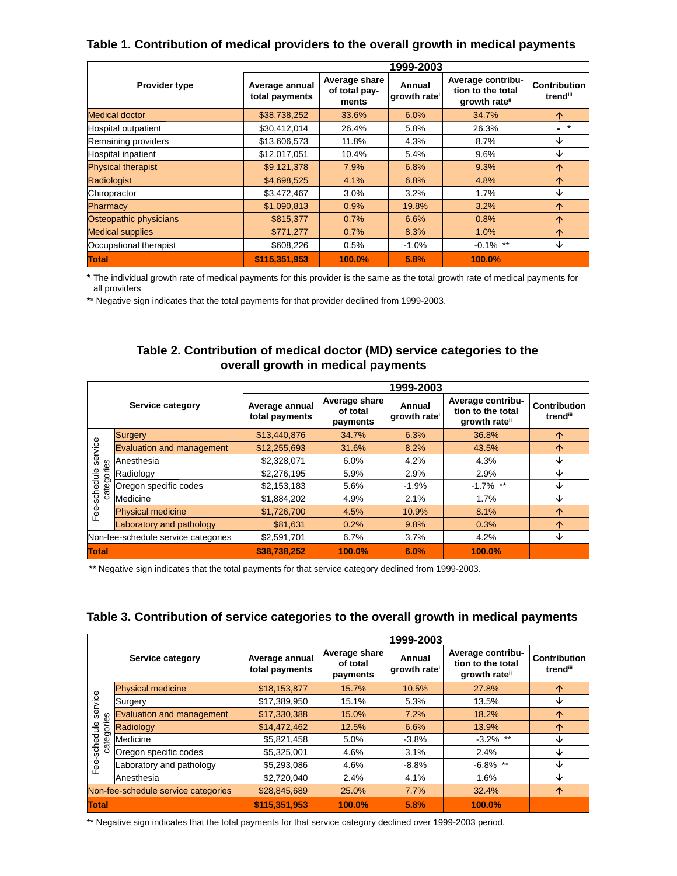### **Table 1. Contribution of medical providers to the overall growth in medical payments**

|                                     | 1999-2003                        |                                         |                       |                                                                     |                                             |
|-------------------------------------|----------------------------------|-----------------------------------------|-----------------------|---------------------------------------------------------------------|---------------------------------------------|
| <b>Provider type</b>                | Average annual<br>total payments | Average share<br>of total pay-<br>ments | Annual<br>growth rate | Average contribu-<br>tion to the total<br>growth rate <sup>ii</sup> | <b>Contribution</b><br>trend <sup>iii</sup> |
| Medical doctor                      | \$38,738,252                     | 6.0%<br>34.7%<br>33.6%                  |                       |                                                                     | $\uparrow$                                  |
| Hospital outpatient                 | \$30,412,014<br>5.8%<br>26.4%    |                                         | 26.3%                 | $-$ *                                                               |                                             |
| Remaining providers                 | \$13,606,573                     | 11.8%                                   | 4.3%                  | 8.7%                                                                | ↓                                           |
| Hospital inpatient                  | \$12,017,051                     | 10.4%                                   | 5.4%                  | 9.6%                                                                | ↓                                           |
| <b>Physical therapist</b>           | \$9,121,378                      | 7.9%                                    | 6.8%                  | 9.3%                                                                | $\uparrow$                                  |
| Radiologist                         | \$4,698,525                      | 4.1%                                    | 6.8%                  | 4.8%                                                                | $\uparrow$                                  |
| Chiropractor                        | \$3,472,467                      | $3.0\%$                                 | 3.2%                  | 1.7%                                                                | ↓                                           |
| Pharmacy                            | \$1,090,813                      | 0.9%                                    | 19.8%                 | 3.2%                                                                | $\uparrow$                                  |
| Osteopathic physicians<br>\$815,377 |                                  | 0.7%                                    | 6.6%                  | 0.8%                                                                | $\uparrow$                                  |
| <b>Medical supplies</b>             | \$771,277                        | 0.7%                                    | 8.3%                  | 1.0%                                                                | $\uparrow$                                  |
| Occupational therapist              | \$608,226                        | 0.5%                                    | $-1.0\%$              | $-0.1\%$ **                                                         | ↓                                           |
| <b>Total</b>                        | \$115,351,953                    | 100.0%                                  | 5.8%                  | 100.0%                                                              |                                             |

**\*** The individual growth rate of medical payments for this provider is the same as the total growth rate of medical payments for all providers

\*\* Negative sign indicates that the total payments for that provider declined from 1999-2003.

#### **Table 2. Contribution of medical doctor (MD) service categories to the overall growth in medical payments**

|                                       |                                  | 1999-2003                        |                                       |                       |                                                                     |                                 |  |
|---------------------------------------|----------------------------------|----------------------------------|---------------------------------------|-----------------------|---------------------------------------------------------------------|---------------------------------|--|
| Service category                      |                                  | Average annual<br>total payments | Average share<br>of total<br>payments | Annual<br>growth rate | Average contribu-<br>tion to the total<br>growth rate <sup>ii</sup> | <b>Contribution</b><br>trendiii |  |
| service<br>categories<br>Fee-schedule | Surgery                          | \$13,440,876                     | 34.7%                                 | 6.3%                  | 36.8%                                                               | $\uparrow$                      |  |
|                                       | <b>Evaluation and management</b> | \$12,255,693                     | 31.6%                                 | 8.2%                  | 43.5%                                                               | $\uparrow$                      |  |
|                                       | Anesthesia                       | \$2,328,071                      | 6.0%                                  | 4.2%                  | 4.3%                                                                | ↓                               |  |
|                                       | Radiology                        | \$2,276,195                      | 5.9%                                  | 2.9%                  | 2.9%                                                                | ↓                               |  |
|                                       | Oregon specific codes            | \$2,153,183                      | 5.6%                                  | $-1.9%$               | $-1.7\%$ **                                                         | ↓                               |  |
|                                       | Medicine                         | \$1,884,202                      | 4.9%                                  | 2.1%                  | 1.7%                                                                | ↓                               |  |
|                                       | <b>Physical medicine</b>         | \$1,726,700                      | 4.5%                                  | 10.9%                 | 8.1%                                                                | $\uparrow$                      |  |
|                                       | Laboratory and pathology         | \$81,631                         | 0.2%                                  | 9.8%                  | 0.3%                                                                | $\uparrow$                      |  |
| Non-fee-schedule service categories   |                                  | \$2,591,701                      | 6.7%                                  | 3.7%                  | 4.2%                                                                | ↓                               |  |
| <b>Total</b>                          |                                  | \$38,738,252                     | 100.0%                                | 6.0%                  | 100.0%                                                              |                                 |  |

\*\* Negative sign indicates that the total payments for that service category declined from 1999-2003.

#### **Table 3. Contribution of service categories to the overall growth in medical payments**

|                                          |                                     | 1999-2003                        |                                       |                       |                                                                     |                                 |
|------------------------------------------|-------------------------------------|----------------------------------|---------------------------------------|-----------------------|---------------------------------------------------------------------|---------------------------------|
| Service category                         |                                     | Average annual<br>total payments | Average share<br>of total<br>payments | Annual<br>growth rate | Average contribu-<br>tion to the total<br>growth rate <sup>ii</sup> | <b>Contribution</b><br>trendiii |
| service<br>ategories<br>-schedule<br>Fee | <b>Physical medicine</b>            | \$18,153,877                     | 15.7%                                 | 10.5%                 | 27.8%                                                               | $\uparrow$                      |
|                                          | Surgery                             | \$17,389,950                     | 15.1%                                 | 5.3%                  | 13.5%                                                               | ↓                               |
|                                          | <b>Evaluation and management</b>    | \$17,330,388                     | 15.0%                                 | 7.2%                  | 18.2%                                                               | $\uparrow$                      |
|                                          | Radiology                           | \$14,472,462                     | 12.5%                                 | 6.6%                  | 13.9%                                                               | ↑                               |
|                                          | Medicine                            | \$5,821,458                      | 5.0%                                  | $-3.8%$               | $-3.2\%$ **                                                         | ↓                               |
|                                          | Oregon specific codes               | \$5,325,001                      | 4.6%                                  | 3.1%                  | 2.4%                                                                | ↓                               |
|                                          | Laboratory and pathology            | \$5,293,086                      | 4.6%                                  | $-8.8%$               | $-6.8\%$ **                                                         | ↓                               |
|                                          | Anesthesia                          | \$2,720,040                      | 2.4%                                  | 4.1%                  | 1.6%                                                                | ↓                               |
|                                          | Non-fee-schedule service categories | \$28,845,689                     | 25.0%                                 | 7.7%                  | 32.4%                                                               | $\uparrow$                      |
| Total                                    |                                     | \$115.351.953                    | 100.0%                                | 5.8%                  | 100.0%                                                              |                                 |

\*\* Negative sign indicates that the total payments for that service category declined over 1999-2003 period.